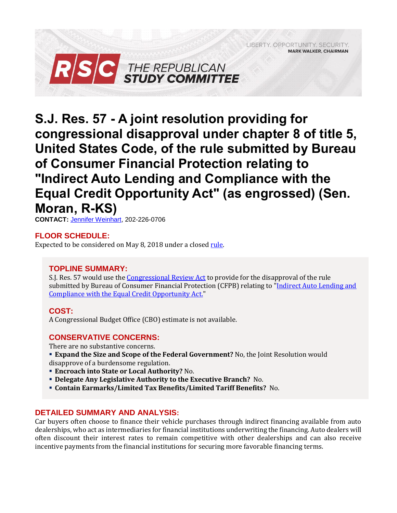LIBERTY, OPPORTUNITY, SECURITY, **MARK WALKER, CHAIRMAN** 



**S.J. Res. 57 - A joint resolution providing for congressional disapproval under chapter 8 of title 5, United States Code, of the rule submitted by Bureau of Consumer Financial Protection relating to "Indirect Auto Lending and Compliance with the Equal Credit Opportunity Act" (as engrossed) (Sen. Moran, R-KS)**

**CONTACT:** [Jennifer Weinhart,](mailto:jennifer.weinhart@mail.house.gov) 202-226-0706

# **FLOOR SCHEDULE:**

Expected to be considered on May 8, 2018 under a closed [rule.](https://rules.house.gov/sites/republicans.rules.house.gov/files/Rule_HR5645HR2152SJRES57.pdf)

## **TOPLINE SUMMARY:**

S.J. Res. 57 would use th[e Congressional Review Act](https://www.law.cornell.edu/uscode/text/5/part-I/chapter-8) to provide for the disapproval of the rule submitted by Bureau of Consumer Financial Protection (CFPB) relating to ["Indirect Auto Lending and](https://files.consumerfinance.gov/f/201303_cfpb_march_-Auto-Finance-Bulletin.pdf)  [Compliance with the Equal Credit Opportunity Act.](https://files.consumerfinance.gov/f/201303_cfpb_march_-Auto-Finance-Bulletin.pdf)"

## **COST:**

A Congressional Budget Office (CBO) estimate is not available.

## **CONSERVATIVE CONCERNS:**

There are no substantive concerns.

- **Expand the Size and Scope of the Federal Government?** No, the Joint Resolution would disapprove of a burdensome regulation.
- **Encroach into State or Local Authority?** No.
- **Delegate Any Legislative Authority to the Executive Branch?** No.
- **Contain Earmarks/Limited Tax Benefits/Limited Tariff Benefits?** No.

## **DETAILED SUMMARY AND ANALYSIS:**

Car buyers often choose to finance their vehicle purchases through indirect financing available from auto dealerships, who act as intermediaries for financial institutions underwriting the financing. Auto dealers will often discount their interest rates to remain competitive with other dealerships and can also receive incentive payments from the financial institutions for securing more favorable financing terms.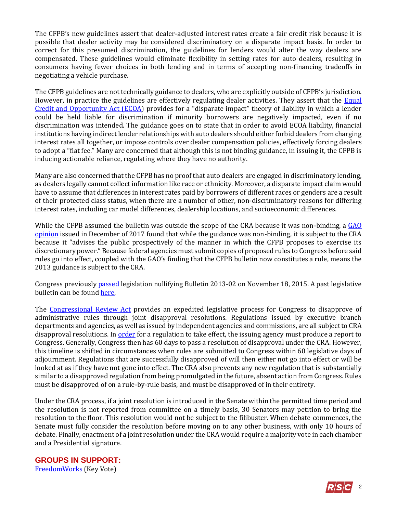The CFPB's new guidelines assert that dealer-adjusted interest rates create a fair credit risk because it is possible that dealer activity may be considered discriminatory on a disparate impact basis. In order to correct for this presumed discrimination, the guidelines for lenders would alter the way dealers are compensated. These guidelines would eliminate flexibility in setting rates for auto dealers, resulting in consumers having fewer choices in both lending and in terms of accepting non-financing tradeoffs in negotiating a vehicle purchase.

The CFPB guidelines are not technically guidance to dealers, who are explicitly outside of CFPB's jurisdiction. However, in practice the guidelines are effectively regulating dealer activities. They assert that the [Equal](http://www.justice.gov/crt/equal-credit-opportunity-act-3)  [Credit and Opportunity Act \(ECOA](http://www.justice.gov/crt/equal-credit-opportunity-act-3)) provides for a "disparate impact" theory of liability in which a lender could be held liable for discrimination if minority borrowers are negatively impacted, even if no discrimination was intended. The guidance goes on to state that in order to avoid ECOA liability, financial institutions having indirect lender relationships with auto dealers should either forbid dealers from charging interest rates all together, or impose controls over dealer compensation policies, effectively forcing dealers to adopt a "flat fee." Many are concerned that although this is not binding guidance, in issuing it, the CFPB is inducing actionable reliance, regulating where they have no authority.

Many are also concerned that the CFPB has no proof that auto dealers are engaged in discriminatory lending, as dealers legally cannot collect information like race or ethnicity. Moreover, a disparate impact claim would have to assume that differences in interest rates paid by borrowers of different races or genders are a result of their protected class status, when there are a number of other, non-discriminatory reasons for differing interest rates, including car model differences, dealership locations, and socioeconomic differences.

While the CFPB assumed the bulletin was outside the scope of the CRA because it was non-binding, a GAO [opinion](https://www.gao.gov/products/B-329129#mt=e-report) issued in December of 2017 found that while the guidance was non-binding, it is subject to the CRA because it "advises the public prospectively of the manner in which the CFPB proposes to exercise its discretionary power." Because federal agencies must submit copies of proposed rules to Congress before said rules go into effect, coupled with the GAO's finding that the CFPB bulletin now constitutes a rule, means the 2013 guidance is subject to the CRA.

Congress previousl[y passed](http://clerk.house.gov/evs/2015/roll637.xml) legislation nullifying Bulletin 2013-02 on November 18, 2015. A past legislative bulletin can be found [here.](https://rsc-walker.house.gov/sites/republicanstudycommittee.house.gov/files/2015LB/Legislative_Bulletin_H_R_1737_JMW.pdf)

The [Congressional Review Act](https://fas.org/sgp/crs/misc/R43992.pdf) provides an expedited legislative process for Congress to disapprove of administrative rules through joint disapproval resolutions. Regulations issued by executive branch departments and agencies, as well as issued by independent agencies and commissions, are all subject to CRA disapproval resolutions. In <u>order</u> for a regulation to take effect, the issuing agency must produce a report to Congress. Generally, Congress then has 60 days to pass a resolution of disapproval under the CRA. However, this timeline is shifted in circumstances when rules are submitted to Congress within 60 legislative days of adjournment. Regulations that are successfully disapproved of will then either not go into effect or will be looked at as if they have not gone into effect. The CRA also prevents any new regulation that is substantially similar to a disapproved regulation from being promulgated in the future, absent action from Congress. Rules must be disapproved of on a rule-by-rule basis, and must be disapproved of in their entirety.

Under the CRA process, if a joint resolution is introduced in the Senate within the permitted time period and the resolution is not reported from committee on a timely basis, 30 Senators may petition to bring the resolution to the floor. This resolution would not be subject to the filibuster. When debate commences, the Senate must fully consider the resolution before moving on to any other business, with only 10 hours of debate. Finally, enactment of a joint resolution under the CRA would require a majority vote in each chamber and a Presidential signature.

**GROUPS IN SUPPORT:** [FreedomWorks](http://d7.freedomworks.org.s3.amazonaws.com/KVN_04_17_2018_Indirect_Auto_Lending_CRA_S_J_Res_57_House.pdf) (Key Vote)